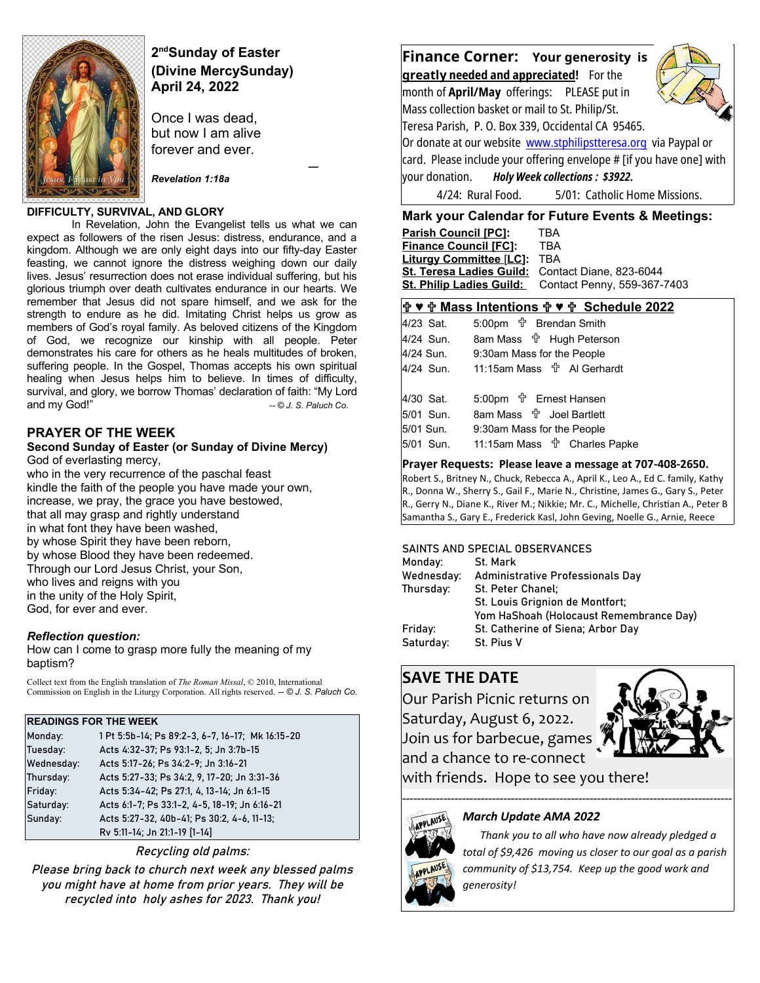

# **2 ndSunday of Easter (Divine MercySunday) April 24, 2022**

 *—* 

Once I was dead, but now I am alive forever and ever.

*Revelation 1:18a*

#### **DIFFICULTY, SURVIVAL, AND GLORY**

In Revelation, John the Evangelist tells us what we can expect as followers of the risen Jesus: distress, endurance, and a kingdom. Although we are only eight days into our fifty-day Easter feasting, we cannot ignore the distress weighing down our daily lives. Jesus' resurrection does not erase individual suffering, but his glorious triumph over death cultivates endurance in our hearts. We remember that Jesus did not spare himself, and we ask for the strength to endure as he did. Imitating Christ helps us grow as members of God's royal family. As beloved citizens of the Kingdom of God, we recognize our kinship with all people. Peter demonstrates his care for others as he heals multitudes of broken, suffering people. In the Gospel, Thomas accepts his own spiritual healing when Jesus helps him to believe. In times of difficulty, survival, and glory, we borrow Thomas' declaration of faith: "My Lord and my God!" **and my God!"**  $-$  © J. S. Paluch Co.

## **PRAYER OF THE WEEK**

#### **Second Sunday of Easter (or Sunday of Divine Mercy)** God of everlasting mercy,

who in the very recurrence of the paschal feast kindle the faith of the people you have made your own, increase, we pray, the grace you have bestowed, that all may grasp and rightly understand in what font they have been washed, by whose Spirit they have been reborn, by whose Blood they have been redeemed. Through our Lord Jesus Christ, your Son, who lives and reigns with you in the unity of the Holy Spirit, God, for ever and ever.

#### *Reflection question:*

How can I come to grasp more fully the meaning of my baptism?

Collect text from the English translation of *The Roman Missal*, © 2010, International Commission on English in the Liturgy Corporation. All rights reserved. *-- © J. S. Paluch Co*.

#### **READINGS FOR THE WEEK**

| Monday:    | 1 Pt 5:5b-14; Ps 89:2-3, 6-7, 16-17; Mk 16:15-20 |
|------------|--------------------------------------------------|
| Tuesday:   | Acts 4:32-37; Ps 93:1-2, 5; Jn 3:7b-15           |
| Wednesday: | Acts 5:17-26; Ps 34:2-9; Jn 3:16-21              |
| Thursday:  | Acts 5:27-33; Ps 34:2, 9, 17-20; Jn 3:31-36      |
| Friday:    | Acts 5:34-42; Ps 27:1, 4, 13-14; Jn 6:1-15       |
| Saturday:  | Acts 6:1-7; Ps 33:1-2, 4-5, 18-19; Jn 6:16-21    |
| Sunday:    | Acts 5:27-32, 40b-41; Ps 30:2, 4-6, 11-13;       |
|            | Rv 5:11-14; Jn 21:1-19 [1-14]                    |

Recycling old palms:

Please bring back to church next week any blessed palms you might have at home from prior years. They will be recycled into holy ashes for 2023. Thank you!



#### **Mark your Calendar for Future Events & Meetings:**

| <b>Parish Council [PC]:</b>                      | TRA                                                  |
|--------------------------------------------------|------------------------------------------------------|
| <b>Finance Council [FC]:</b>                     | TBA                                                  |
| <b>Liturgy Committee [LC]:</b>                   | TBA                                                  |
| St. Teresa Ladies Guild: Contact Diane, 823-6044 |                                                      |
|                                                  | St. Philip Ladies Guild: Contact Penny, 559-367-7403 |
|                                                  |                                                      |

# **♥ Mass Intentions ♥ Schedule 2022**

|           | $\mathbf{T} \times \mathbf{T}$ indess intentions $\mathbf{T} \times \mathbf{T}$ Sched |
|-----------|---------------------------------------------------------------------------------------|
| 4/23 Sat. | 5:00pm <sup>+</sup> Brendan Smith                                                     |
| 4/24 Sun. | 8am Mass <sup>+</sup> Hugh Peterson                                                   |
| 4/24 Sun. | 9:30am Mass for the People                                                            |
| 4/24 Sun. |                                                                                       |
|           |                                                                                       |
| 4/30 Sat. | 5:00pm <sup>+</sup> Ernest Hansen                                                     |
| 5/01 Sun. | 8am Mass <b>th</b> Joel Bartlett                                                      |
|           |                                                                                       |

| 5/01 Sun. | 9:30am Mass for the People              |  |
|-----------|-----------------------------------------|--|
| 5/01 Sun. | 11:15am Mass <sup>f</sup> Charles Papke |  |

#### **Prayer Requests: Please leave a message at 707-408-2650.**

Robert S., Britney N., Chuck, Rebecca A., April K., Leo A., Ed C. family, Kathy R., Donna W., Sherry S., Gail F., Marie N., Christine, James G., Gary S., Peter R., Gerry N., Diane K., River M.; Nikkie; Mr. C., Michelle, Christian A., Peter B Samantha S., Gary E., Frederick Kasl, John Geving, Noelle G., Arnie, Reece

#### SAINTS AND SPECIAL OBSERVANCES

| Monday:    | St. Mark                                |
|------------|-----------------------------------------|
| Wednesday: | Administrative Professionals Day        |
| Thursday:  | St. Peter Chanel;                       |
|            | St. Louis Grignion de Montfort;         |
|            | Yom HaShoah (Holocaust Remembrance Day) |
| Friday:    | St. Catherine of Siena; Arbor Day       |
| Saturday:  | St. Pius V                              |
|            |                                         |

# **SAVE THE DATE**

Our Parish Picnic returns on Saturday, August 6, 2022. Join us for barbecue, games and a chance to re-connect



with friends. Hope to see you there!

#### *March Update AMA 2022*



 *Thank you to all who have now already pledged a total of \$9,426 moving us closer to our goal as a parish community of \$13,754. Keep up the good work and generosity!*

----------------------------------------------------------------------------------------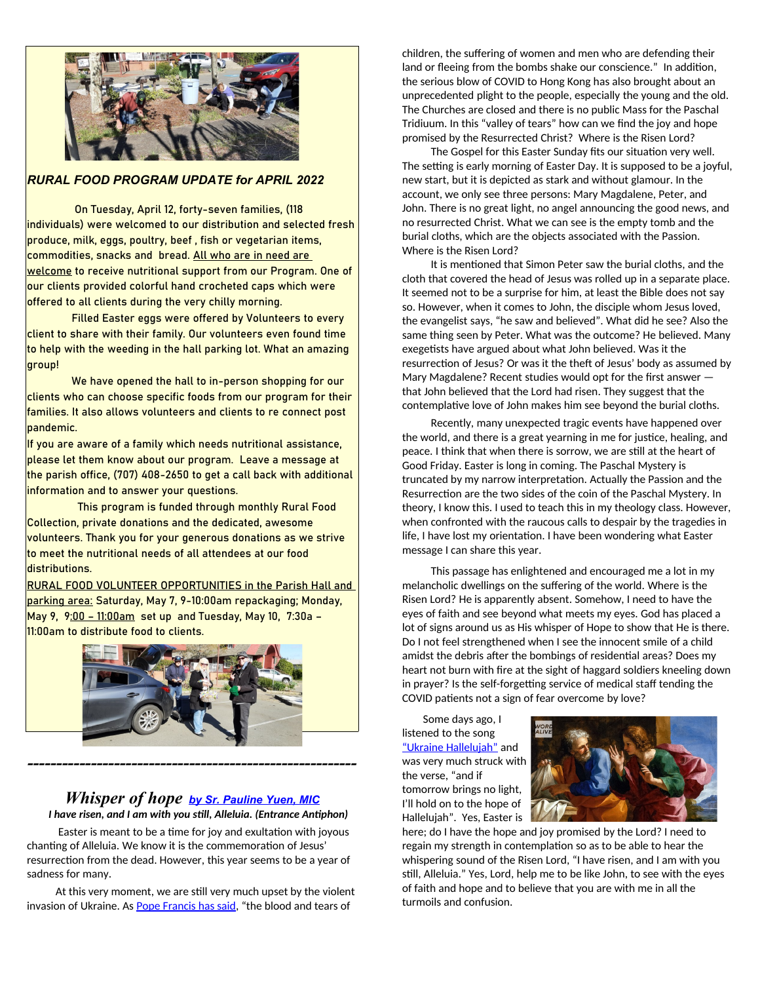

#### *RURAL FOOD PROGRAM UPDATE for APRIL 2022*

 On Tuesday, April 12, forty-seven families, (118 individuals) were welcomed to our distribution and selected fresh produce, milk, eggs, poultry, beef , fish or vegetarian items, commodities, snacks and bread. All who are in need are welcome to receive nutritional support from our Program. One of our clients provided colorful hand crocheted caps which were offered to all clients during the very chilly morning.

Filled Easter eggs were offered by Volunteers to every client to share with their family. Our volunteers even found time to help with the weeding in the hall parking lot. What an amazing group!

We have opened the hall to in-person shopping for our clients who can choose specific foods from our program for their families. It also allows volunteers and clients to re connect post pandemic.

If you are aware of a family which needs nutritional assistance, please let them know about our program. Leave a message at the parish office, (707) 408-2650 to get a call back with additional information and to answer your questions.

 This program is funded through monthly Rural Food Collection, private donations and the dedicated, awesome volunteers. Thank you for your generous donations as we strive to meet the nutritional needs of all attendees at our food distributions.

RURAL FOOD VOLUNTEER OPPORTUNITIES in the Parish Hall and parking area: Saturday, May 7, 9-10:00am repackaging; Monday, May 9, 9:00 – 11:00am set up and Tuesday, May 10, 7:30a – 11:00am to distribute food to clients.



# *Whisper of hope [by Sr. Pauline Yuen, MIC](https://slmedia.org/blog/whisper-of-hope-word-alive)*

*---------------------------------------------------------*

*I have risen, and I am with you still, Alleluia. (Entrance Antiphon)*

 Easter is meant to be a time for joy and exultation with joyous chanting of Alleluia. We know it is the commemoration of Jesus' resurrection from the dead. However, this year seems to be a year of sadness for many.

 At this very moment, we are still very much upset by the violent invasion of Ukraine. As **[Pope Francis has said](https://www.theguardian.com/world/2022/mar/18/pope-francis-denounces-abuse-of-power-in-russia-ukraine-war)**, "the blood and tears of

children, the suffering of women and men who are defending their land or fleeing from the bombs shake our conscience." In addition, the serious blow of COVID to Hong Kong has also brought about an unprecedented plight to the people, especially the young and the old. The Churches are closed and there is no public Mass for the Paschal Tridiuum. In this "valley of tears" how can we find the joy and hope promised by the Resurrected Christ? Where is the Risen Lord?

 The Gospel for this Easter Sunday fits our situation very well. The setting is early morning of Easter Day. It is supposed to be a joyful, new start, but it is depicted as stark and without glamour. In the account, we only see three persons: Mary Magdalene, Peter, and John. There is no great light, no angel announcing the good news, and no resurrected Christ. What we can see is the empty tomb and the burial cloths, which are the objects associated with the Passion. Where is the Risen Lord?

 It is mentioned that Simon Peter saw the burial cloths, and the cloth that covered the head of Jesus was rolled up in a separate place. It seemed not to be a surprise for him, at least the Bible does not say so. However, when it comes to John, the disciple whom Jesus loved, the evangelist says, "he saw and believed". What did he see? Also the same thing seen by Peter. What was the outcome? He believed. Many exegetists have argued about what John believed. Was it the resurrection of Jesus? Or was it the theft of Jesus' body as assumed by Mary Magdalene? Recent studies would opt for the first answer that John believed that the Lord had risen. They suggest that the contemplative love of John makes him see beyond the burial cloths.

 Recently, many unexpected tragic events have happened over the world, and there is a great yearning in me for justice, healing, and peace. I think that when there is sorrow, we are still at the heart of Good Friday. Easter is long in coming. The Paschal Mystery is truncated by my narrow interpretation. Actually the Passion and the Resurrection are the two sides of the coin of the Paschal Mystery. In theory, I know this. I used to teach this in my theology class. However, when confronted with the raucous calls to despair by the tragedies in life, I have lost my orientation. I have been wondering what Easter message I can share this year.

 This passage has enlightened and encouraged me a lot in my melancholic dwellings on the suffering of the world. Where is the Risen Lord? He is apparently absent. Somehow, I need to have the eyes of faith and see beyond what meets my eyes. God has placed a lot of signs around us as His whisper of Hope to show that He is there. Do I not feel strengthened when I see the innocent smile of a child amidst the debris after the bombings of residential areas? Does my heart not burn with fire at the sight of haggard soldiers kneeling down in prayer? Is the self-forgetting service of medical staff tending the COVID patients not a sign of fear overcome by love?

 Some days ago, I listened to the song ["Ukraine Hallelujah"](https://youtu.be/duOnmlJuNJQ) and was very much struck with the verse, "and if tomorrow brings no light, I'll hold on to the hope of Hallelujah". Yes, Easter is



here; do I have the hope and joy promised by the Lord? I need to regain my strength in contemplation so as to be able to hear the whispering sound of the Risen Lord, "I have risen, and I am with you still, Alleluia." Yes, Lord, help me to be like John, to see with the eyes of faith and hope and to believe that you are with me in all the turmoils and confusion.